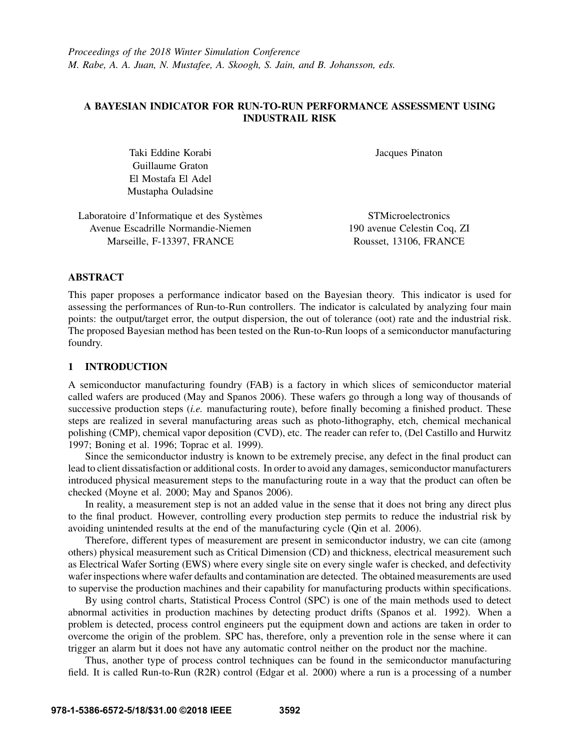# A BAYESIAN INDICATOR FOR RUN-TO-RUN PERFORMANCE ASSESSMENT USING INDUSTRAIL RISK

Taki Eddine Korabi Guillaume Graton El Mostafa El Adel Mustapha Ouladsine Jacques Pinaton

Laboratoire d'Informatique et des Systèmes Avenue Escadrille Normandie-Niemen Marseille, F-13397, FRANCE

**STMicroelectronics** 190 avenue Celestin Coq, ZI Rousset, 13106, FRANCE

# ABSTRACT

This paper proposes a performance indicator based on the Bayesian theory. This indicator is used for assessing the performances of Run-to-Run controllers. The indicator is calculated by analyzing four main points: the output/target error, the output dispersion, the out of tolerance (oot) rate and the industrial risk. The proposed Bayesian method has been tested on the Run-to-Run loops of a semiconductor manufacturing foundry.

## 1 INTRODUCTION

A semiconductor manufacturing foundry (FAB) is a factory in which slices of semiconductor material called wafers are produced (May and Spanos 2006). These wafers go through a long way of thousands of successive production steps *(i.e.* manufacturing route), before finally becoming a finished product. These steps are realized in several manufacturing areas such as photo-lithography, etch, chemical mechanical polishing (CMP), chemical vapor deposition (CVD), etc. The reader can refer to, (Del Castillo and Hurwitz 1997; Boning et al. 1996; Toprac et al. 1999).

Since the semiconductor industry is known to be extremely precise, any defect in the final product can lead to client dissatisfaction or additional costs. In order to avoid any damages, semiconductor manufacturers introduced physical measurement steps to the manufacturing route in a way that the product can often be checked (Moyne et al. 2000; May and Spanos 2006).

In reality, a measurement step is not an added value in the sense that it does not bring any direct plus to the final product. However, controlling every production step permits to reduce the industrial risk by avoiding unintended results at the end of the manufacturing cycle (Qin et al. 2006).

Therefore, different types of measurement are present in semiconductor industry, we can cite (among others) physical measurement such as Critical Dimension (CD) and thickness, electrical measurement such as Electrical Wafer Sorting (EWS) where every single site on every single wafer is checked, and defectivity wafer inspections where wafer defaults and contamination are detected. The obtained measurements are used to supervise the production machines and their capability for manufacturing products within specifications.

By using control charts, Statistical Process Control (SPC) is one of the main methods used to detect abnormal activities in production machines by detecting product drifts (Spanos et al. 1992). When a problem is detected, process control engineers put the equipment down and actions are taken in order to overcome the origin of the problem. SPC has, therefore, only a prevention role in the sense where it can trigger an alarm but it does not have any automatic control neither on the product nor the machine.

Thus, another type of process control techniques can be found in the semiconductor manufacturing field. It is called Run-to-Run (R2R) control (Edgar et al. 2000) where a run is a processing of a number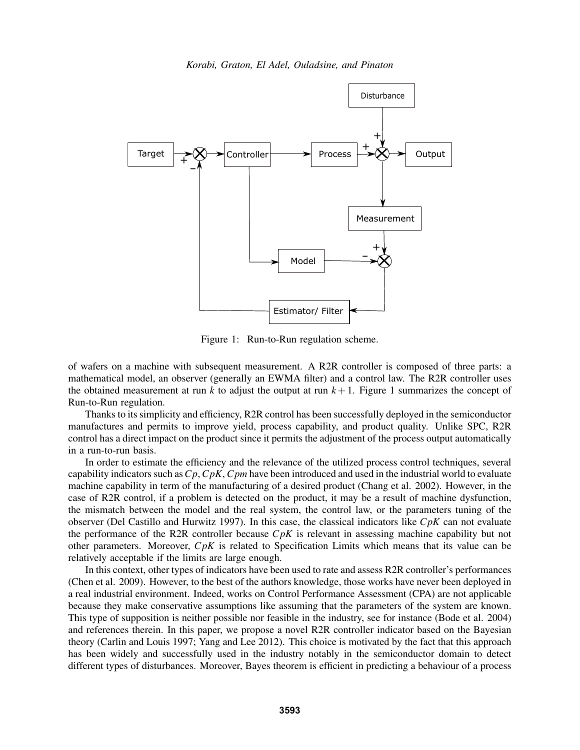

Figure 1: Run-to-Run regulation scheme.

of wafers on a machine with subsequent measurement. A R2R controller is composed of three parts: a mathematical model, an observer (generally an EWMA filter) and a control law. The R2R controller uses the obtained measurement at run  $k$  to adjust the output at run  $k+1$ . Figure 1 summarizes the concept of Run-to-Run regulation.

Thanks to its simplicity and efficiency, R2R control has been successfully deployed in the semiconductor manufactures and permits to improve yield, process capability, and product quality. Unlike SPC, R2R control has a direct impact on the product since it permits the adjustment of the process output automatically in a run-to-run basis.

In order to estimate the efficiency and the relevance of the utilized process control techniques, several capability indicators such as*Cp*, *CpK*, *Cpm* have been introduced and used in the industrial world to evaluate machine capability in term of the manufacturing of a desired product (Chang et al. 2002). However, in the case of R2R control, if a problem is detected on the product, it may be a result of machine dysfunction, the mismatch between the model and the real system, the control law, or the parameters tuning of the observer (Del Castillo and Hurwitz 1997). In this case, the classical indicators like *CpK* can not evaluate the performance of the R2R controller because *CpK* is relevant in assessing machine capability but not other parameters. Moreover, *CpK* is related to Specification Limits which means that its value can be relatively acceptable if the limits are large enough.

In this context, other types of indicators have been used to rate and assess R2R controller's performances (Chen et al. 2009). However, to the best of the authors knowledge, those works have never been deployed in a real industrial environment. Indeed, works on Control Performance Assessment (CPA) are not applicable because they make conservative assumptions like assuming that the parameters of the system are known. This type of supposition is neither possible nor feasible in the industry, see for instance (Bode et al. 2004) and references therein. In this paper, we propose a novel R2R controller indicator based on the Bayesian theory (Carlin and Louis 1997; Yang and Lee 2012). This choice is motivated by the fact that this approach has been widely and successfully used in the industry notably in the semiconductor domain to detect different types of disturbances. Moreover, Bayes theorem is efficient in predicting a behaviour of a process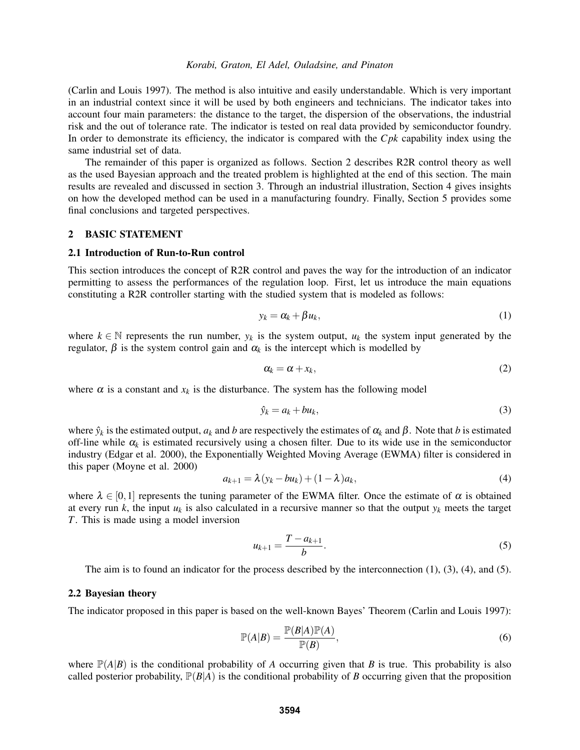(Carlin and Louis 1997). The method is also intuitive and easily understandable. Which is very important in an industrial context since it will be used by both engineers and technicians. The indicator takes into account four main parameters: the distance to the target, the dispersion of the observations, the industrial risk and the out of tolerance rate. The indicator is tested on real data provided by semiconductor foundry. In order to demonstrate its efficiency, the indicator is compared with the *Cpk* capability index using the same industrial set of data.

The remainder of this paper is organized as follows. Section 2 describes R2R control theory as well as the used Bayesian approach and the treated problem is highlighted at the end of this section. The main results are revealed and discussed in section 3. Through an industrial illustration, Section 4 gives insights on how the developed method can be used in a manufacturing foundry. Finally, Section 5 provides some final conclusions and targeted perspectives.

## 2 BASIC STATEMENT

#### 2.1 Introduction of Run-to-Run control

This section introduces the concept of R2R control and paves the way for the introduction of an indicator permitting to assess the performances of the regulation loop. First, let us introduce the main equations constituting a R2R controller starting with the studied system that is modeled as follows:

$$
y_k = \alpha_k + \beta u_k, \tag{1}
$$

where  $k \in \mathbb{N}$  represents the run number,  $y_k$  is the system output,  $u_k$  the system input generated by the regulator, β is the system control gain and α*<sup>k</sup>* is the intercept which is modelled by

$$
\alpha_k = \alpha + x_k,\tag{2}
$$

where  $\alpha$  is a constant and  $x_k$  is the disturbance. The system has the following model

$$
\hat{y}_k = a_k + bu_k,\tag{3}
$$

where  $\hat{y}_k$  is the estimated output,  $a_k$  and *b* are respectively the estimates of  $\alpha_k$  and  $\beta$ . Note that *b* is estimated off-line while  $\alpha_k$  is estimated recursively using a chosen filter. Due to its wide use in the semiconductor industry (Edgar et al. 2000), the Exponentially Weighted Moving Average (EWMA) filter is considered in this paper (Moyne et al. 2000)

$$
a_{k+1} = \lambda (y_k - bu_k) + (1 - \lambda)a_k, \tag{4}
$$

where  $\lambda \in [0,1]$  represents the tuning parameter of the EWMA filter. Once the estimate of  $\alpha$  is obtained at every run  $k$ , the input  $u_k$  is also calculated in a recursive manner so that the output  $y_k$  meets the target *T*. This is made using a model inversion

$$
u_{k+1} = \frac{T - a_{k+1}}{b}.\tag{5}
$$

The aim is to found an indicator for the process described by the interconnection (1), (3), (4), and (5).

### 2.2 Bayesian theory

The indicator proposed in this paper is based on the well-known Bayes' Theorem (Carlin and Louis 1997):

$$
\mathbb{P}(A|B) = \frac{\mathbb{P}(B|A)\mathbb{P}(A)}{\mathbb{P}(B)},
$$
\n(6)

where  $\mathbb{P}(A|B)$  is the conditional probability of *A* occurring given that *B* is true. This probability is also called posterior probability,  $\mathbb{P}(B|A)$  is the conditional probability of *B* occurring given that the proposition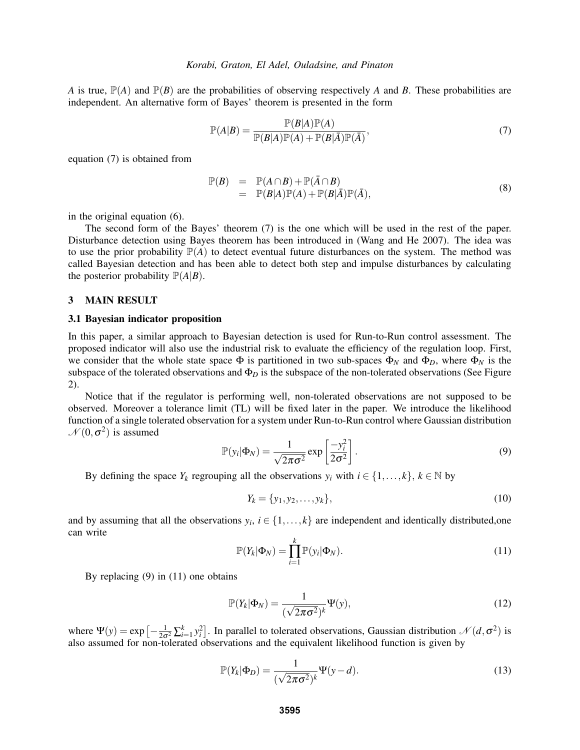*A* is true,  $\mathbb{P}(A)$  and  $\mathbb{P}(B)$  are the probabilities of observing respectively *A* and *B*. These probabilities are independent. An alternative form of Bayes' theorem is presented in the form

$$
\mathbb{P}(A|B) = \frac{\mathbb{P}(B|A)\mathbb{P}(A)}{\mathbb{P}(B|A)\mathbb{P}(A) + \mathbb{P}(B|\overline{A})\mathbb{P}(\overline{A})},\tag{7}
$$

equation (7) is obtained from

$$
\mathbb{P}(B) = \mathbb{P}(A \cap B) + \mathbb{P}(\bar{A} \cap B)
$$
  
=  $\mathbb{P}(B|A)\mathbb{P}(A) + \mathbb{P}(B|\bar{A})\mathbb{P}(\bar{A}),$  (8)

in the original equation (6).

The second form of the Bayes' theorem (7) is the one which will be used in the rest of the paper. Disturbance detection using Bayes theorem has been introduced in (Wang and He 2007). The idea was to use the prior probability  $\mathbb{P}(A)$  to detect eventual future disturbances on the system. The method was called Bayesian detection and has been able to detect both step and impulse disturbances by calculating the posterior probability  $\mathbb{P}(A|B)$ .

#### 3 MAIN RESULT

#### 3.1 Bayesian indicator proposition

In this paper, a similar approach to Bayesian detection is used for Run-to-Run control assessment. The proposed indicator will also use the industrial risk to evaluate the efficiency of the regulation loop. First, we consider that the whole state space  $\Phi$  is partitioned in two sub-spaces  $\Phi_N$  and  $\Phi_D$ , where  $\Phi_N$  is the subspace of the tolerated observations and Φ*<sup>D</sup>* is the subspace of the non-tolerated observations (See Figure 2).

Notice that if the regulator is performing well, non-tolerated observations are not supposed to be observed. Moreover a tolerance limit (TL) will be fixed later in the paper. We introduce the likelihood function of a single tolerated observation for a system under Run-to-Run control where Gaussian distribution  $\mathcal{N}(0, \sigma^2)$  is assumed

$$
\mathbb{P}(y_i|\Phi_N) = \frac{1}{\sqrt{2\pi\sigma^2}} \exp\left[\frac{-y_i^2}{2\sigma^2}\right].
$$
\n(9)

By defining the space  $Y_k$  regrouping all the observations  $y_i$  with  $i \in \{1, ..., k\}, k \in \mathbb{N}$  by

$$
Y_k = \{y_1, y_2, \dots, y_k\},\tag{10}
$$

and by assuming that all the observations  $y_i$ ,  $i \in \{1, ..., k\}$  are independent and identically distributed, one can write

$$
\mathbb{P}(Y_k|\Phi_N) = \prod_{i=1}^k \mathbb{P}(y_i|\Phi_N).
$$
\n(11)

By replacing (9) in (11) one obtains

$$
\mathbb{P}(Y_k|\Phi_N) = \frac{1}{(\sqrt{2\pi\sigma^2})^k} \Psi(y),\tag{12}
$$

where  $\Psi(y) = \exp \left[-\frac{1}{2\sigma^2} \sum_{i=1}^k y_i^2\right]$ . In parallel to tolerated observations, Gaussian distribution  $\mathcal{N}(d, \sigma^2)$  is also assumed for non-tolerated observations and the equivalent likelihood function is given by

$$
\mathbb{P}(Y_k|\Phi_D) = \frac{1}{(\sqrt{2\pi\sigma^2})^k} \Psi(y-d). \tag{13}
$$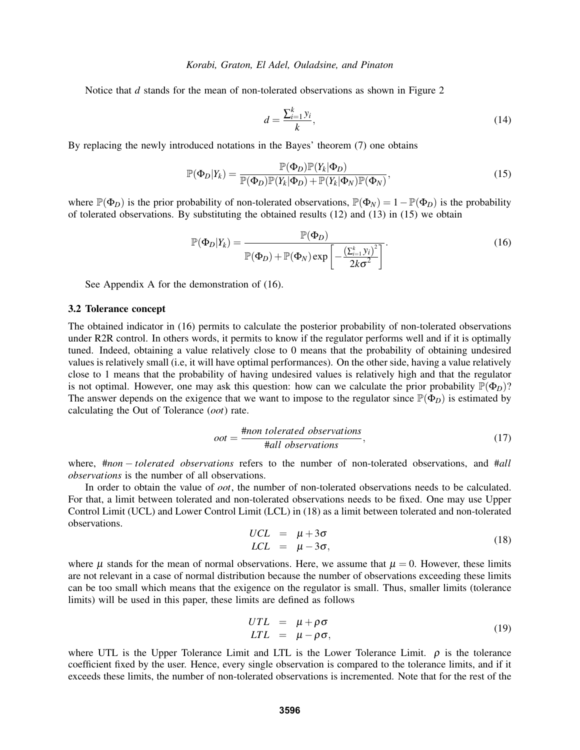Notice that *d* stands for the mean of non-tolerated observations as shown in Figure 2

$$
d = \frac{\sum_{i=1}^{k} y_i}{k},\tag{14}
$$

By replacing the newly introduced notations in the Bayes' theorem (7) one obtains

$$
\mathbb{P}(\Phi_D|Y_k) = \frac{\mathbb{P}(\Phi_D)\mathbb{P}(Y_k|\Phi_D)}{\mathbb{P}(\Phi_D)\mathbb{P}(Y_k|\Phi_D) + \mathbb{P}(Y_k|\Phi_N)\mathbb{P}(\Phi_N)},\tag{15}
$$

where  $\mathbb{P}(\Phi_D)$  is the prior probability of non-tolerated observations,  $\mathbb{P}(\Phi_N) = 1 - \mathbb{P}(\Phi_D)$  is the probability of tolerated observations. By substituting the obtained results (12) and (13) in (15) we obtain

$$
\mathbb{P}(\Phi_D|Y_k) = \frac{\mathbb{P}(\Phi_D)}{\mathbb{P}(\Phi_D) + \mathbb{P}(\Phi_N) \exp\left[-\frac{\left(\sum_{i=1}^k y_i\right)^2}{2k\sigma^2}\right]}.
$$
\n(16)

See Appendix A for the demonstration of (16).

### 3.2 Tolerance concept

The obtained indicator in (16) permits to calculate the posterior probability of non-tolerated observations under R2R control. In others words, it permits to know if the regulator performs well and if it is optimally tuned. Indeed, obtaining a value relatively close to 0 means that the probability of obtaining undesired values is relatively small (i.e, it will have optimal performances). On the other side, having a value relatively close to 1 means that the probability of having undesired values is relatively high and that the regulator is not optimal. However, one may ask this question: how can we calculate the prior probability  $\mathbb{P}(\Phi_D)$ ? The answer depends on the exigence that we want to impose to the regulator since  $\mathbb{P}(\Phi_D)$  is estimated by calculating the Out of Tolerance (*oot*) rate.

$$
oot = \frac{\text{#non } tolerance} {\text{#all observations}},
$$
\n(17)

where, #*non* − *tolerated observations* refers to the number of non-tolerated observations, and #*all observations* is the number of all observations.

In order to obtain the value of *oot*, the number of non-tolerated observations needs to be calculated. For that, a limit between tolerated and non-tolerated observations needs to be fixed. One may use Upper Control Limit (UCL) and Lower Control Limit (LCL) in (18) as a limit between tolerated and non-tolerated observations.

$$
UCL = \mu + 3\sigma LCL = \mu - 3\sigma,
$$
 (18)

where  $\mu$  stands for the mean of normal observations. Here, we assume that  $\mu = 0$ . However, these limits are not relevant in a case of normal distribution because the number of observations exceeding these limits can be too small which means that the exigence on the regulator is small. Thus, smaller limits (tolerance limits) will be used in this paper, these limits are defined as follows

$$
UTL = \mu + \rho \sigma LTL = \mu - \rho \sigma,
$$
 (19)

where UTL is the Upper Tolerance Limit and LTL is the Lower Tolerance Limit.  $\rho$  is the tolerance coefficient fixed by the user. Hence, every single observation is compared to the tolerance limits, and if it exceeds these limits, the number of non-tolerated observations is incremented. Note that for the rest of the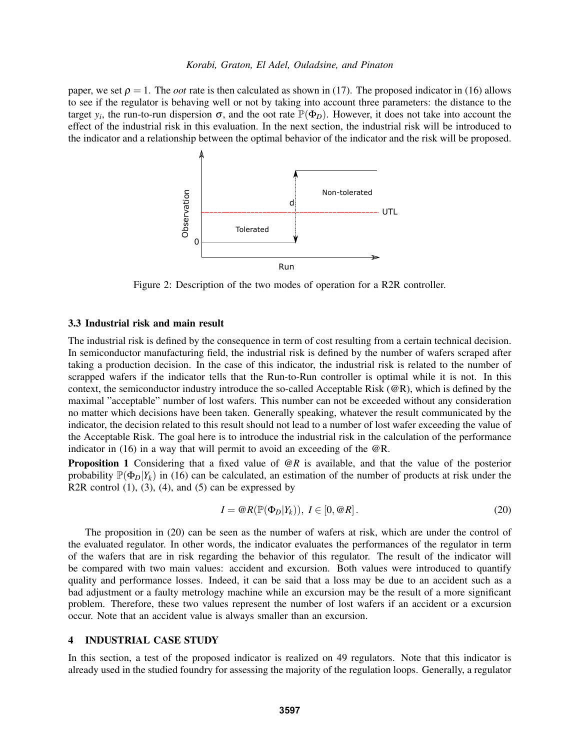paper, we set  $\rho = 1$ . The *oot* rate is then calculated as shown in (17). The proposed indicator in (16) allows to see if the regulator is behaving well or not by taking into account three parameters: the distance to the target  $y_i$ , the run-to-run dispersion  $\sigma$ , and the oot rate  $\mathbb{P}(\Phi_D)$ . However, it does not take into account the effect of the industrial risk in this evaluation. In the next section, the industrial risk will be introduced to the indicator and a relationship between the optimal behavior of the indicator and the risk will be proposed.



Figure 2: Description of the two modes of operation for a R2R controller.

# 3.3 Industrial risk and main result

The industrial risk is defined by the consequence in term of cost resulting from a certain technical decision. In semiconductor manufacturing field, the industrial risk is defined by the number of wafers scraped after taking a production decision. In the case of this indicator, the industrial risk is related to the number of scrapped wafers if the indicator tells that the Run-to-Run controller is optimal while it is not. In this context, the semiconductor industry introduce the so-called Acceptable Risk  $(\mathcal{Q}_R)$ , which is defined by the maximal "acceptable" number of lost wafers. This number can not be exceeded without any consideration no matter which decisions have been taken. Generally speaking, whatever the result communicated by the indicator, the decision related to this result should not lead to a number of lost wafer exceeding the value of the Acceptable Risk. The goal here is to introduce the industrial risk in the calculation of the performance indicator in (16) in a way that will permit to avoid an exceeding of the @R.

Proposition 1 Considering that a fixed value of @*R* is available, and that the value of the posterior probability  $\mathbb{P}(\Phi_D|Y_k)$  in (16) can be calculated, an estimation of the number of products at risk under the R2R control  $(1)$ ,  $(3)$ ,  $(4)$ , and  $(5)$  can be expressed by

$$
I = \mathcal{Q}R(\mathbb{P}(\Phi_D|Y_k)), \ I \in [0, \mathcal{Q}R].
$$
\n(20)

The proposition in (20) can be seen as the number of wafers at risk, which are under the control of the evaluated regulator. In other words, the indicator evaluates the performances of the regulator in term of the wafers that are in risk regarding the behavior of this regulator. The result of the indicator will be compared with two main values: accident and excursion. Both values were introduced to quantify quality and performance losses. Indeed, it can be said that a loss may be due to an accident such as a bad adjustment or a faulty metrology machine while an excursion may be the result of a more significant problem. Therefore, these two values represent the number of lost wafers if an accident or a excursion occur. Note that an accident value is always smaller than an excursion.

## 4 INDUSTRIAL CASE STUDY

In this section, a test of the proposed indicator is realized on 49 regulators. Note that this indicator is already used in the studied foundry for assessing the majority of the regulation loops. Generally, a regulator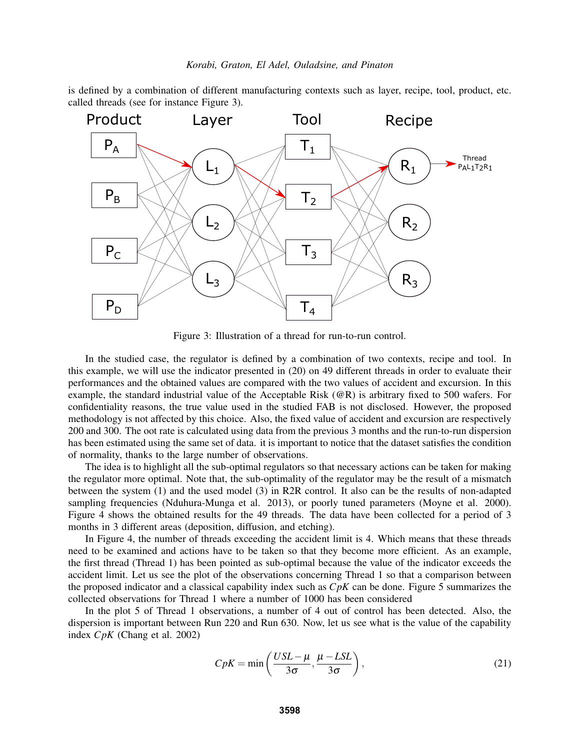is defined by a combination of different manufacturing contexts such as layer, recipe, tool, product, etc. called threads (see for instance Figure 3).



Figure 3: Illustration of a thread for run-to-run control.

In the studied case, the regulator is defined by a combination of two contexts, recipe and tool. In this example, we will use the indicator presented in (20) on 49 different threads in order to evaluate their performances and the obtained values are compared with the two values of accident and excursion. In this example, the standard industrial value of the Acceptable Risk (@R) is arbitrary fixed to 500 wafers. For confidentiality reasons, the true value used in the studied FAB is not disclosed. However, the proposed methodology is not affected by this choice. Also, the fixed value of accident and excursion are respectively 200 and 300. The oot rate is calculated using data from the previous 3 months and the run-to-run dispersion has been estimated using the same set of data. it is important to notice that the dataset satisfies the condition of normality, thanks to the large number of observations.

The idea is to highlight all the sub-optimal regulators so that necessary actions can be taken for making the regulator more optimal. Note that, the sub-optimality of the regulator may be the result of a mismatch between the system (1) and the used model (3) in R2R control. It also can be the results of non-adapted sampling frequencies (Nduhura-Munga et al. 2013), or poorly tuned parameters (Moyne et al. 2000). Figure 4 shows the obtained results for the 49 threads. The data have been collected for a period of 3 months in 3 different areas (deposition, diffusion, and etching).

In Figure 4, the number of threads exceeding the accident limit is 4. Which means that these threads need to be examined and actions have to be taken so that they become more efficient. As an example, the first thread (Thread 1) has been pointed as sub-optimal because the value of the indicator exceeds the accident limit. Let us see the plot of the observations concerning Thread 1 so that a comparison between the proposed indicator and a classical capability index such as *CpK* can be done. Figure 5 summarizes the collected observations for Thread 1 where a number of 1000 has been considered

In the plot 5 of Thread 1 observations, a number of 4 out of control has been detected. Also, the dispersion is important between Run 220 and Run 630. Now, let us see what is the value of the capability index *CpK* (Chang et al. 2002)

$$
CpK = \min\left(\frac{USL - \mu}{3\sigma}, \frac{\mu - LSL}{3\sigma}\right),\tag{21}
$$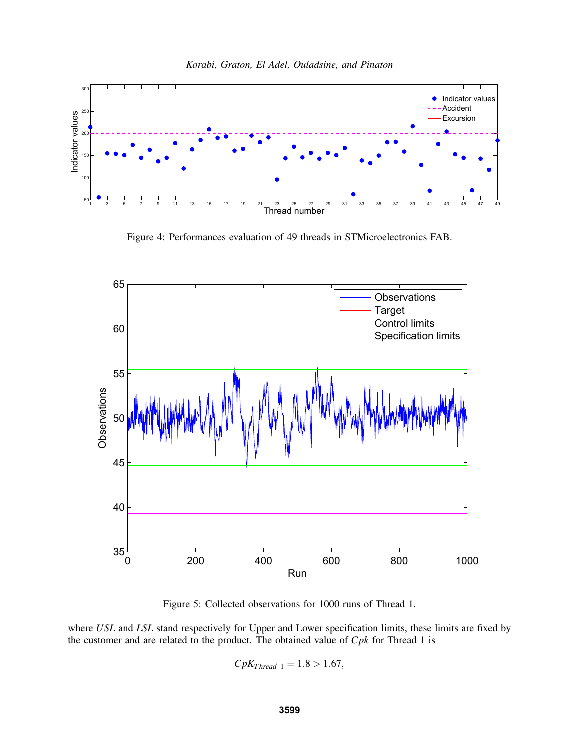

*Korabi, Graton, El Adel, Ouladsine, and Pinaton*

Figure 4: Performances evaluation of 49 threads in STMicroelectronics FAB.



Figure 5: Collected observations for 1000 runs of Thread 1.

where *USL* and *LSL* stand respectively for Upper and Lower specification limits, these limits are fixed by the customer and are related to the product. The obtained value of *Cpk* for Thread 1 is

 $CpK_{Thread\ 1} = 1.8 > 1.67$ ,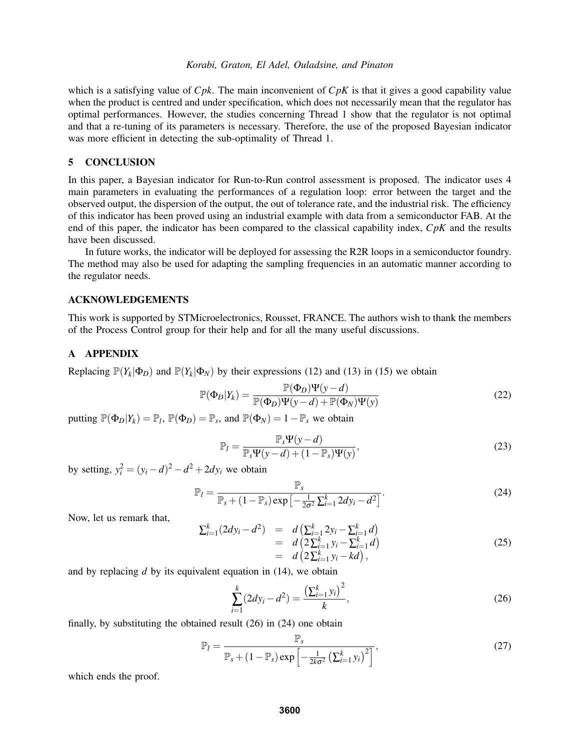which is a satisfying value of *Cpk*. The main inconvenient of *CpK* is that it gives a good capability value when the product is centred and under specification, which does not necessarily mean that the regulator has optimal performances. However, the studies concerning Thread 1 show that the regulator is not optimal and that a re-tuning of its parameters is necessary. Therefore, the use of the proposed Bayesian indicator was more efficient in detecting the sub-optimality of Thread 1.

### 5 CONCLUSION

In this paper, a Bayesian indicator for Run-to-Run control assessment is proposed. The indicator uses 4 main parameters in evaluating the performances of a regulation loop: error between the target and the observed output, the dispersion of the output, the out of tolerance rate, and the industrial risk. The efficiency of this indicator has been proved using an industrial example with data from a semiconductor FAB. At the end of this paper, the indicator has been compared to the classical capability index, *CpK* and the results have been discussed.

In future works, the indicator will be deployed for assessing the R2R loops in a semiconductor foundry. The method may also be used for adapting the sampling frequencies in an automatic manner according to the regulator needs.

### ACKNOWLEDGEMENTS

This work is supported by STMicroelectronics, Rousset, FRANCE. The authors wish to thank the members of the Process Control group for their help and for all the many useful discussions.

# A APPENDIX

Replacing  $\mathbb{P}(Y_k|\Phi_D)$  and  $\mathbb{P}(Y_k|\Phi_N)$  by their expressions (12) and (13) in (15) we obtain

$$
\mathbb{P}(\Phi_D|Y_k) = \frac{\mathbb{P}(\Phi_D)\Psi(y - d)}{\mathbb{P}(\Phi_D)\Psi(y - d) + \mathbb{P}(\Phi_N)\Psi(y)}
$$
(22)

putting  $\mathbb{P}(\Phi_D|Y_k) = \mathbb{P}_l$ ,  $\mathbb{P}(\Phi_D) = \mathbb{P}_s$ , and  $\mathbb{P}(\Phi_N) = 1 - \mathbb{P}_s$  we obtain

$$
\mathbb{P}_{l} = \frac{\mathbb{P}_{s} \Psi(y - d)}{\mathbb{P}_{s} \Psi(y - d) + (1 - \mathbb{P}_{s}) \Psi(y)},
$$
\n(23)

by setting,  $y_i^2 = (y_i - d)^2 - d^2 + 2dy_i$  we obtain

$$
\mathbb{P}_{l} = \frac{\mathbb{P}_{s}}{\mathbb{P}_{s} + (1 - \mathbb{P}_{s}) \exp\left[-\frac{1}{2\sigma^{2}} \sum_{i=1}^{k} 2dy_{i} - d^{2}\right]}.
$$
\n(24)

Now, let us remark that,

$$
\sum_{i=1}^{k} (2dy_i - d^2) = d\left(\sum_{i=1}^{k} 2y_i - \sum_{i=1}^{k} d\right)
$$
  
=  $d\left(2\sum_{i=1}^{k} y_i - \sum_{i=1}^{k} d\right)$   
=  $d\left(2\sum_{i=1}^{k} y_i - kd\right),$  (25)

and by replacing *d* by its equivalent equation in (14), we obtain

$$
\sum_{i=1}^{k} (2dy_i - d^2) = \frac{\left(\sum_{i=1}^{k} y_i\right)^2}{k},\tag{26}
$$

finally, by substituting the obtained result (26) in (24) one obtain

$$
\mathbb{P}_{l} = \frac{\mathbb{P}_{s}}{\mathbb{P}_{s} + (1 - \mathbb{P}_{s}) \exp\left[-\frac{1}{2k\sigma^{2}} \left(\sum_{i=1}^{k} y_{i}\right)^{2}\right]},
$$
\n(27)

which ends the proof.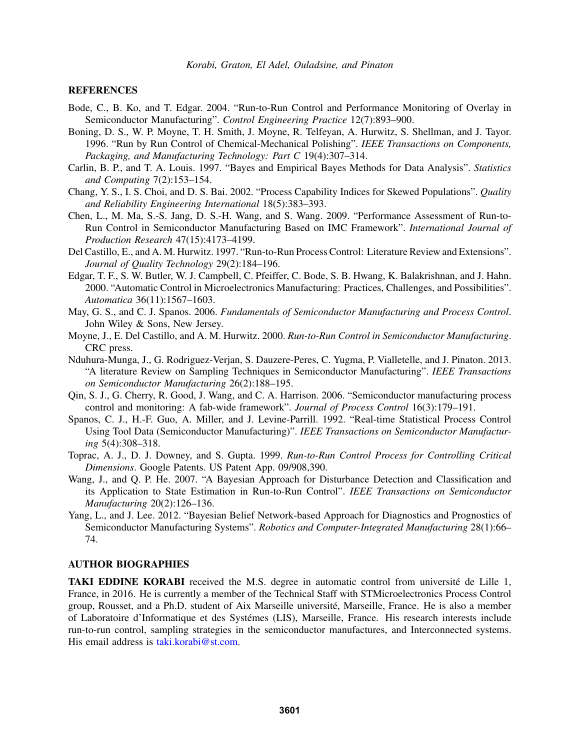### **REFERENCES**

- Bode, C., B. Ko, and T. Edgar. 2004. "Run-to-Run Control and Performance Monitoring of Overlay in Semiconductor Manufacturing". *Control Engineering Practice* 12(7):893–900.
- Boning, D. S., W. P. Moyne, T. H. Smith, J. Moyne, R. Telfeyan, A. Hurwitz, S. Shellman, and J. Tayor. 1996. "Run by Run Control of Chemical-Mechanical Polishing". *IEEE Transactions on Components, Packaging, and Manufacturing Technology: Part C* 19(4):307–314.
- Carlin, B. P., and T. A. Louis. 1997. "Bayes and Empirical Bayes Methods for Data Analysis". *Statistics and Computing* 7(2):153–154.
- Chang, Y. S., I. S. Choi, and D. S. Bai. 2002. "Process Capability Indices for Skewed Populations". *Quality and Reliability Engineering International* 18(5):383–393.
- Chen, L., M. Ma, S.-S. Jang, D. S.-H. Wang, and S. Wang. 2009. "Performance Assessment of Run-to-Run Control in Semiconductor Manufacturing Based on IMC Framework". *International Journal of Production Research* 47(15):4173–4199.
- Del Castillo, E., and A. M. Hurwitz. 1997. "Run-to-Run Process Control: Literature Review and Extensions". *Journal of Quality Technology* 29(2):184–196.
- Edgar, T. F., S. W. Butler, W. J. Campbell, C. Pfeiffer, C. Bode, S. B. Hwang, K. Balakrishnan, and J. Hahn. 2000. "Automatic Control in Microelectronics Manufacturing: Practices, Challenges, and Possibilities". *Automatica* 36(11):1567–1603.
- May, G. S., and C. J. Spanos. 2006. *Fundamentals of Semiconductor Manufacturing and Process Control*. John Wiley & Sons, New Jersey.
- Moyne, J., E. Del Castillo, and A. M. Hurwitz. 2000. *Run-to-Run Control in Semiconductor Manufacturing*. CRC press.
- Nduhura-Munga, J., G. Rodriguez-Verjan, S. Dauzere-Peres, C. Yugma, P. Vialletelle, and J. Pinaton. 2013. "A literature Review on Sampling Techniques in Semiconductor Manufacturing". *IEEE Transactions on Semiconductor Manufacturing* 26(2):188–195.
- Qin, S. J., G. Cherry, R. Good, J. Wang, and C. A. Harrison. 2006. "Semiconductor manufacturing process control and monitoring: A fab-wide framework". *Journal of Process Control* 16(3):179–191.
- Spanos, C. J., H.-F. Guo, A. Miller, and J. Levine-Parrill. 1992. "Real-time Statistical Process Control Using Tool Data (Semiconductor Manufacturing)". *IEEE Transactions on Semiconductor Manufacturing* 5(4):308–318.
- Toprac, A. J., D. J. Downey, and S. Gupta. 1999. *Run-to-Run Control Process for Controlling Critical Dimensions*. Google Patents. US Patent App. 09/908,390.
- Wang, J., and Q. P. He. 2007. "A Bayesian Approach for Disturbance Detection and Classification and its Application to State Estimation in Run-to-Run Control". *IEEE Transactions on Semiconductor Manufacturing* 20(2):126–136.
- Yang, L., and J. Lee. 2012. "Bayesian Belief Network-based Approach for Diagnostics and Prognostics of Semiconductor Manufacturing Systems". *Robotics and Computer-Integrated Manufacturing* 28(1):66– 74.

### AUTHOR BIOGRAPHIES

TAKI EDDINE KORABI received the M.S. degree in automatic control from universite de Lille 1, ´ France, in 2016. He is currently a member of the Technical Staff with STMicroelectronics Process Control group, Rousset, and a Ph.D. student of Aix Marseille universite, Marseille, France. He is also a member ´ of Laboratoire d'Informatique et des Systemes (LIS), Marseille, France. His research interests include ´ run-to-run control, sampling strategies in the semiconductor manufactures, and Interconnected systems. His email address is taki.korabi@st.com.